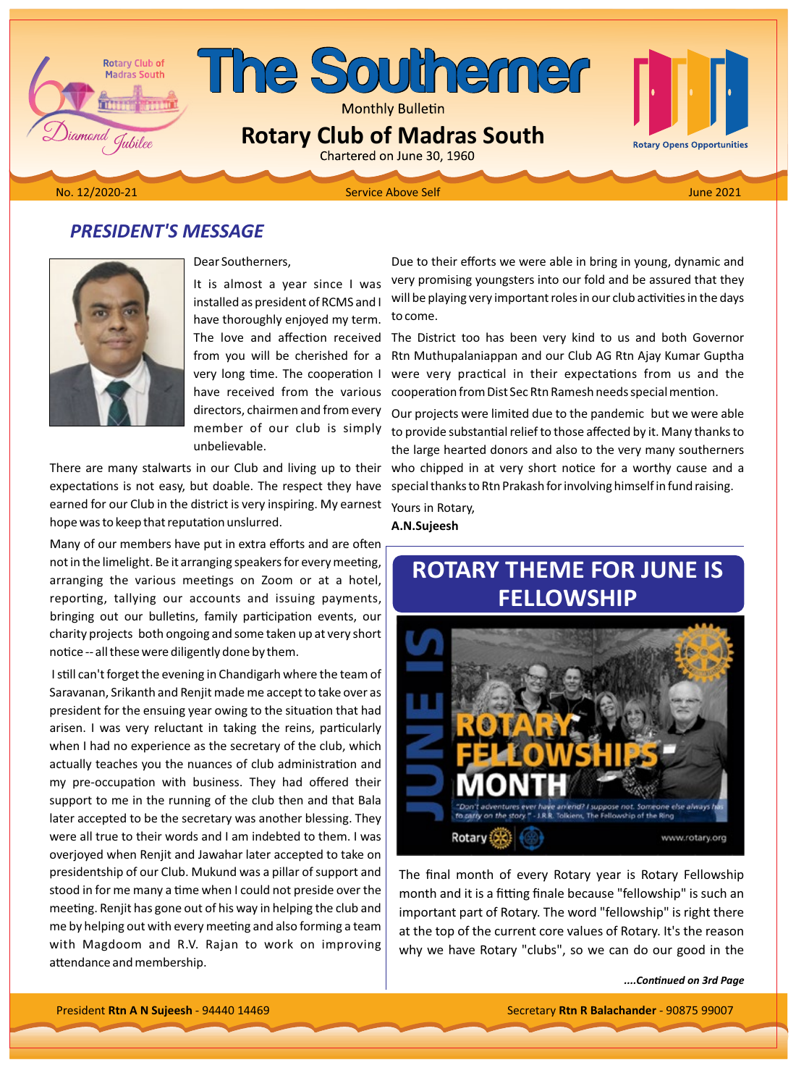

## **PRESIDENT'S MESSAGE**



### Dear Southerners.

It is almost a year since I was installed as president of RCMS and I have thoroughly enjoyed my term. The love and affection received from you will be cherished for a very long time. The cooperation I have received from the various directors, chairmen and from every member of our club is simply unbelievable.

There are many stalwarts in our Club and living up to their expectations is not easy, but doable. The respect they have earned for our Club in the district is very inspiring. My earnest hope was to keep that reputation unslurred.

Many of our members have put in extra efforts and are often not in the limelight. Be it arranging speakers for every meeting, arranging the various meetings on Zoom or at a hotel, reporting, tallying our accounts and issuing payments, bringing out our bulletins, family participation events, our charity projects both ongoing and some taken up at very short notice -- all these were diligently done by them.

I still can't forget the evening in Chandigarh where the team of Saravanan, Srikanth and Renjit made me accept to take over as president for the ensuing year owing to the situation that had arisen. I was very reluctant in taking the reins, particularly when I had no experience as the secretary of the club, which actually teaches you the nuances of club administration and my pre-occupation with business. They had offered their support to me in the running of the club then and that Bala later accepted to be the secretary was another blessing. They were all true to their words and I am indebted to them. I was overjoyed when Renjit and Jawahar later accepted to take on presidentship of our Club. Mukund was a pillar of support and stood in for me many a time when I could not preside over the meeting. Renjit has gone out of his way in helping the club and me by helping out with every meeting and also forming a team with Magdoom and R.V. Rajan to work on improving attendance and membership.

Due to their efforts we were able in bring in young, dynamic and very promising youngsters into our fold and be assured that they will be playing very important roles in our club activities in the days to come.

The District too has been very kind to us and both Governor Rtn Muthupalaniappan and our Club AG Rtn Ajay Kumar Guptha were very practical in their expectations from us and the cooperation from Dist Sec Rtn Ramesh needs special mention.

Our projects were limited due to the pandemic but we were able to provide substantial relief to those affected by it. Many thanks to the large hearted donors and also to the very many southerners who chipped in at very short notice for a worthy cause and a special thanks to Rtn Prakash for involving himself in fund raising.

Yours in Rotary,

A.N.Sujeesh

# **ROTARY THEME FOR JUNE IS FELLOWSHIP**



The final month of every Rotary year is Rotary Fellowship month and it is a fitting finale because "fellowship" is such an important part of Rotary. The word "fellowship" is right there at the top of the current core values of Rotary. It's the reason why we have Rotary "clubs", so we can do our good in the

....Continued on 3rd Page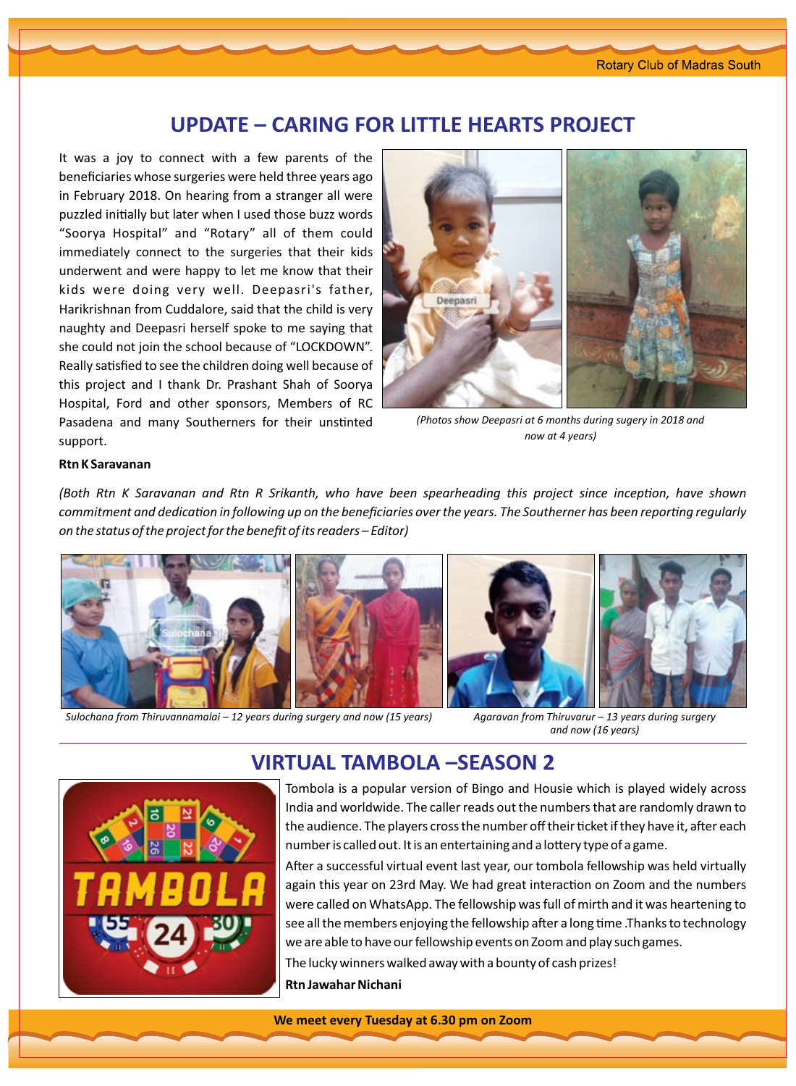## **UPDATE – CARING FOR LITTLE HEARTS PROJECT**

It was a joy to connect with a few parents of the beneficiaries whose surgeries were held three years ago in February 2018. On hearing from a stranger all were puzzled initially but later when I used those buzz words "Soorya Hospital" and "Rotary" all of them could immediately connect to the surgeries that their kids underwent and were happy to let me know that their kids were doing very well. Deepasri's father, Harikrishnan from Cuddalore, said that the child is very naughty and Deepasri herself spoke to me saying that she could not join the school because of "LOCKDOWN". Really satisfied to see the children doing well because of this project and I thank Dr. Prashant Shah of Soorya Hospital, Ford and other sponsors, Members of RC Pasadena and many Southerners for their unstinted support.



*(Photos show Deepasri at 6 months during sugery in 2018 and (now at 4 years)* 

#### **Rtn K Saravanan**

*(Both Rtn K Saravanan and Rtn R Srikanth, who have been spearheading this project since inception, have shown commitment and dedication in following up on the beneficiaries over the years. The Southerner has been reporting regularly On the status of the project for the benefit of its readers – Editor)* 



*Sulochana from Thiruvannamalai – 12 years during surgery and now (15 years) Agaravan from Thiruvarur – 13 years during surgery* 

and now (16 years)



## **VIRTUAL TAMBOLA –SEASON 2**

Tombola is a popular version of Bingo and Housie which is played widely across India and worldwide. The caller reads out the numbers that are randomly drawn to the audience. The players cross the number off their ticket if they have it, after each number is called out. It is an entertaining and a lottery type of a game.

After a successful virtual event last year, our tombola fellowship was held virtually again this year on 23rd May. We had great interaction on Zoom and the numbers were called on WhatsApp. The fellowship was full of mirth and it was heartening to see all the members enjoying the fellowship after a long time . Thanks to technology we are able to have our fellowship events on Zoom and play such games.

The lucky winners walked away with a bounty of cash prizes! **Nichani Jawahar Rtn**

**We meet every Tuesday at 6.30 pm on Zoom**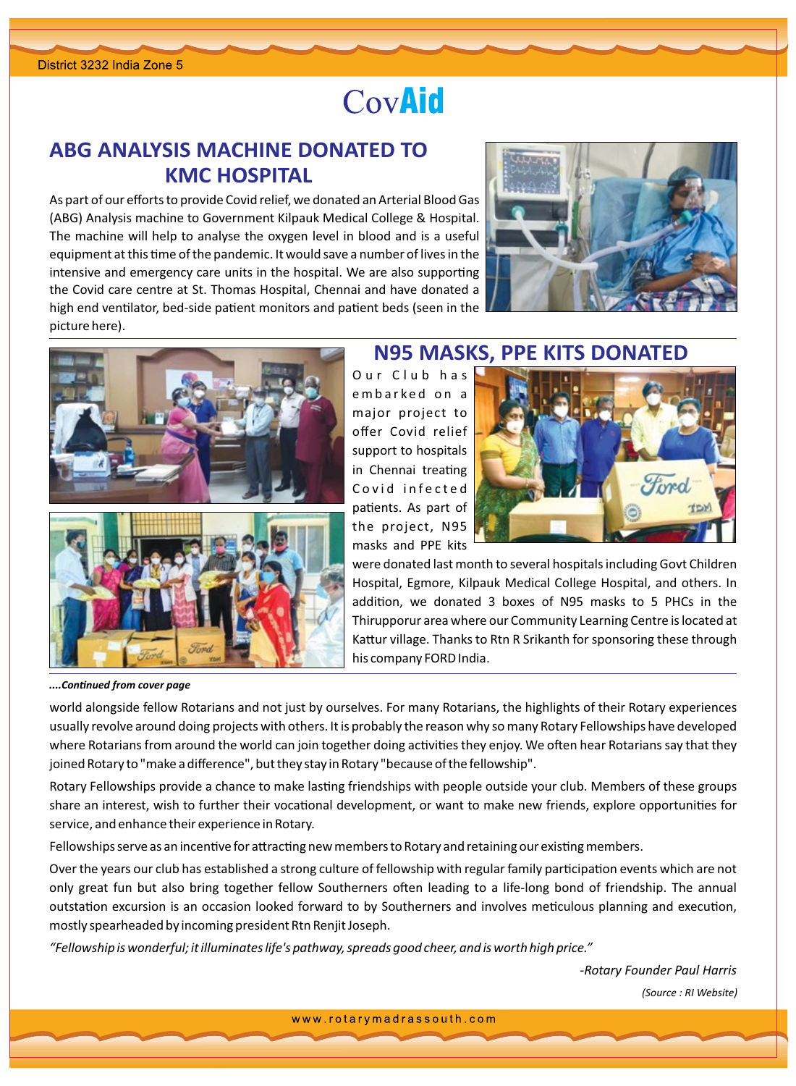# CovAid

## ABG ANALYSIS MACHINE DONATED TO **KMC HOSPITAL**

As part of our efforts to provide Covid relief, we donated an Arterial Blood Gas (ABG) Analysis machine to Government Kilpauk Medical College & Hospital. The machine will help to analyse the oxygen level in blood and is a useful equipment at this time of the pandemic. It would save a number of lives in the intensive and emergency care units in the hospital. We are also supporting the Covid care centre at St. Thomas Hospital, Chennai and have donated a high end ventilator, bed-side patient monitors and patient beds (seen in the picture here).







## **N95 MASKS, PPE KITS DONATED**

Our Club has embarked on a major project to offer Covid relief support to hospitals in Chennai treating Covid infected patients. As part of the project, N95 masks and PPE kits



were donated last month to several hospitals including Govt Children Hospital, Egmore, Kilpauk Medical College Hospital, and others. In addition, we donated 3 boxes of N95 masks to 5 PHCs in the Thirupporur area where our Community Learning Centre is located at Kattur village. Thanks to Rtn R Srikanth for sponsoring these through his company FORD India.

....Continued from cover page

world alongside fellow Rotarians and not just by ourselves. For many Rotarians, the highlights of their Rotary experiences usually revolve around doing projects with others. It is probably the reason why so many Rotary Fellowships have developed where Rotarians from around the world can join together doing activities they enjoy. We often hear Rotarians say that they joined Rotary to "make a difference", but they stay in Rotary "because of the fellowship".

Rotary Fellowships provide a chance to make lasting friendships with people outside your club. Members of these groups share an interest, wish to further their vocational development, or want to make new friends, explore opportunities for service, and enhance their experience in Rotary.

Fellowships serve as an incentive for attracting new members to Rotary and retaining our existing members.

Over the years our club has established a strong culture of fellowship with regular family participation events which are not only great fun but also bring together fellow Southerners often leading to a life-long bond of friendship. The annual outstation excursion is an occasion looked forward to by Southerners and involves meticulous planning and execution, mostly spearheaded by incoming president Rtn Renjit Joseph.

"Fellowship is wonderful; it illuminates life's pathway, spreads good cheer, and is worth high price."

-Rotary Founder Paul Harris (Source : RI Website)

www.rotarymadrassouth.com